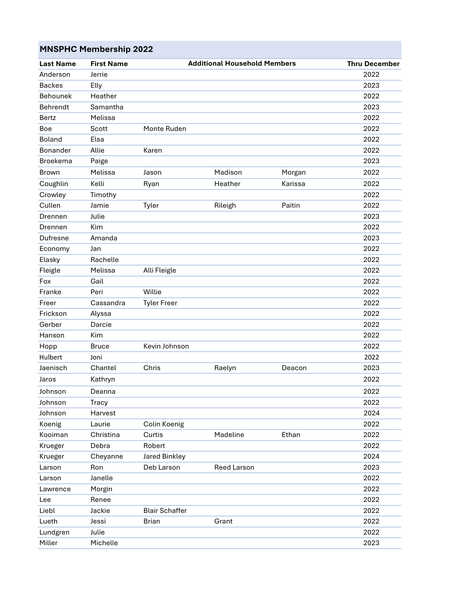| <b>MNSPHC Membership 2022</b> |                   |                       |                                     |         |                      |  |  |  |  |  |
|-------------------------------|-------------------|-----------------------|-------------------------------------|---------|----------------------|--|--|--|--|--|
| <b>Last Name</b>              | <b>First Name</b> |                       | <b>Additional Household Members</b> |         | <b>Thru December</b> |  |  |  |  |  |
| Anderson                      | Jerrie            |                       |                                     |         | 2022                 |  |  |  |  |  |
| <b>Backes</b>                 | Elly              |                       |                                     |         | 2023                 |  |  |  |  |  |
| Behounek                      | Heather           |                       |                                     |         | 2022                 |  |  |  |  |  |
| Behrendt                      | Samantha          |                       |                                     |         | 2023                 |  |  |  |  |  |
| <b>Bertz</b>                  | Melissa           |                       |                                     |         | 2022                 |  |  |  |  |  |
| <b>Boe</b>                    | Scott             | Monte Ruden           |                                     |         | 2022                 |  |  |  |  |  |
| Boland                        | Elsa              |                       |                                     |         | 2022                 |  |  |  |  |  |
| Bonander                      | Allie             | Karen                 |                                     |         | 2022                 |  |  |  |  |  |
| <b>Broekema</b>               | Paige             |                       |                                     |         | 2023                 |  |  |  |  |  |
| <b>Brown</b>                  | Melissa           | Jason                 | Madison                             | Morgan  | 2022                 |  |  |  |  |  |
| Coughlin                      | Kelli             | Ryan                  | Heather                             | Karissa | 2022                 |  |  |  |  |  |
| Crowley                       | Timothy           |                       |                                     |         | 2022                 |  |  |  |  |  |
| Cullen                        | Jamie             | Tyler                 | Rileigh                             | Paitin  | 2022                 |  |  |  |  |  |
| Drennen                       | Julie             |                       |                                     |         | 2023                 |  |  |  |  |  |
| Drennen                       | Kim               |                       |                                     |         | 2022                 |  |  |  |  |  |
| <b>Dufresne</b>               | Amanda            |                       |                                     |         | 2023                 |  |  |  |  |  |
| Economy                       | Jan               |                       |                                     |         | 2022                 |  |  |  |  |  |
| Elasky                        | Rachelle          |                       |                                     |         | 2022                 |  |  |  |  |  |
| Fleigle                       | Melissa           | Alli Fleigle          |                                     |         | 2022                 |  |  |  |  |  |
| Fox                           | Gail              |                       |                                     |         | 2022                 |  |  |  |  |  |
| Franke                        | Peri              | Willie                |                                     |         | 2022                 |  |  |  |  |  |
| Freer                         | Cassandra         | <b>Tyler Freer</b>    |                                     |         | 2022                 |  |  |  |  |  |
| Frickson                      | Alyssa            |                       |                                     |         | 2022                 |  |  |  |  |  |
| Gerber                        | Darcie            |                       |                                     |         | 2022                 |  |  |  |  |  |
| Hanson                        | Kim               |                       |                                     |         | 2022                 |  |  |  |  |  |
| Hopp                          | <b>Bruce</b>      | Kevin Johnson         |                                     |         | 2022                 |  |  |  |  |  |
| Hulbert                       | Joni              |                       |                                     |         | 2022                 |  |  |  |  |  |
| Jaenisch                      | Chantel           | Chris                 | Raelyn                              | Deacon  | 2023                 |  |  |  |  |  |
| Jaros                         | Kathryn           |                       |                                     |         | 2022                 |  |  |  |  |  |
| Johnson                       | Deanna            |                       |                                     |         | 2022                 |  |  |  |  |  |
| Johnson                       | Tracy             |                       |                                     |         | 2022                 |  |  |  |  |  |
| Johnson                       | Harvest           |                       |                                     |         | 2024                 |  |  |  |  |  |
| Koenig                        | Laurie            | Colin Koenig          |                                     |         | 2022                 |  |  |  |  |  |
| Kooiman                       | Christina         | Curtis                | Madeline                            | Ethan   | 2022                 |  |  |  |  |  |
| Krueger                       | Debra             | Robert                |                                     |         | 2022                 |  |  |  |  |  |
| Krueger                       | Cheyanne          | Jared Binkley         |                                     |         | 2024                 |  |  |  |  |  |
| Larson                        | Ron               | Deb Larson            | Reed Larson                         |         | 2023                 |  |  |  |  |  |
| Larson                        | Janelle           |                       |                                     |         | 2022                 |  |  |  |  |  |
| Lawrence                      | Morgin            |                       |                                     |         | 2022                 |  |  |  |  |  |
| Lee                           | Renee             |                       |                                     |         | 2022                 |  |  |  |  |  |
| Liebl                         | Jackie            | <b>Blair Schaffer</b> |                                     |         | 2022                 |  |  |  |  |  |
| Lueth                         | Jessi             | <b>Brian</b>          | Grant                               |         | 2022                 |  |  |  |  |  |
| Lundgren                      | Julie             |                       |                                     |         | 2022                 |  |  |  |  |  |
| Miller                        | Michelle          |                       |                                     |         | 2023                 |  |  |  |  |  |